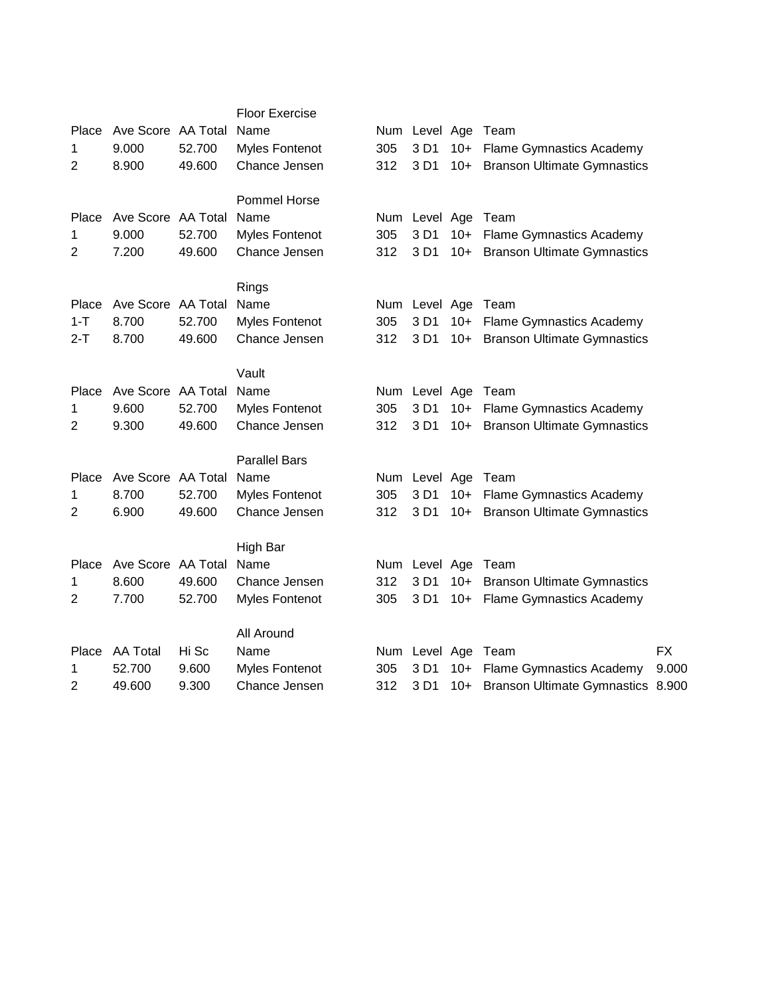|                |                    |        | <b>Floor Exercise</b> |     |               |       |                                    |           |
|----------------|--------------------|--------|-----------------------|-----|---------------|-------|------------------------------------|-----------|
| Place          | Ave Score AA Total |        | Name                  |     | Num Level Age |       | Team                               |           |
| 1              | 9.000              | 52.700 | <b>Myles Fontenot</b> | 305 | 3 D1          | $10+$ | <b>Flame Gymnastics Academy</b>    |           |
| 2              | 8.900              | 49.600 | Chance Jensen         | 312 | 3 D1          | $10+$ | <b>Branson Ultimate Gymnastics</b> |           |
|                |                    |        | <b>Pommel Horse</b>   |     |               |       |                                    |           |
| Place          | Ave Score AA Total |        | Name                  |     | Num Level Age |       | Team                               |           |
| 1              | 9.000              | 52.700 | <b>Myles Fontenot</b> | 305 | 3 D1          | $10+$ | <b>Flame Gymnastics Academy</b>    |           |
| 2              | 7.200              | 49.600 | Chance Jensen         | 312 | 3 D1          | $10+$ | <b>Branson Ultimate Gymnastics</b> |           |
|                |                    |        | Rings                 |     |               |       |                                    |           |
| Place          | Ave Score AA Total |        | Name                  |     | Num Level Age |       | Team                               |           |
| $1 - T$        | 8.700              | 52.700 | <b>Myles Fontenot</b> | 305 | 3 D1          | $10+$ | <b>Flame Gymnastics Academy</b>    |           |
| $2-T$          | 8.700              | 49.600 | Chance Jensen         | 312 | 3 D1          | $10+$ | <b>Branson Ultimate Gymnastics</b> |           |
|                |                    |        | Vault                 |     |               |       |                                    |           |
| Place          | Ave Score AA Total |        | Name                  |     | Num Level Age |       | Team                               |           |
| 1              | 9.600              | 52.700 | Myles Fontenot        | 305 | 3 D1          | $10+$ | <b>Flame Gymnastics Academy</b>    |           |
| 2              | 9.300              | 49.600 | Chance Jensen         | 312 | 3 D1          | $10+$ | <b>Branson Ultimate Gymnastics</b> |           |
|                |                    |        | <b>Parallel Bars</b>  |     |               |       |                                    |           |
| Place          | Ave Score AA Total |        | Name                  | Num | Level Age     |       | Team                               |           |
| 1              | 8.700              | 52.700 | <b>Myles Fontenot</b> | 305 | 3 D1          | $10+$ | <b>Flame Gymnastics Academy</b>    |           |
| $\overline{2}$ | 6.900              | 49.600 | Chance Jensen         | 312 | 3 D1          | $10+$ | <b>Branson Ultimate Gymnastics</b> |           |
|                |                    |        | High Bar              |     |               |       |                                    |           |
| Place          | Ave Score AA Total |        | Name                  |     | Num Level Age |       | Team                               |           |
| 1              | 8.600              | 49.600 | Chance Jensen         | 312 | 3 D1          | $10+$ | <b>Branson Ultimate Gymnastics</b> |           |
| $\overline{2}$ | 7.700              | 52.700 | <b>Myles Fontenot</b> | 305 | 3 D1          | $10+$ | <b>Flame Gymnastics Academy</b>    |           |
|                |                    |        | All Around            |     |               |       |                                    |           |
| Place          | <b>AA Total</b>    | Hi Sc  | Name                  |     | Num Level Age |       | Team                               | <b>FX</b> |
| 1              | 52.700             | 9.600  | <b>Myles Fontenot</b> | 305 | 3 D1          | $10+$ | <b>Flame Gymnastics Academy</b>    | 9.000     |
| 2              | 49.600             | 9.300  | Chance Jensen         | 312 | 3 D1          | $10+$ | Branson Ultimate Gymnastics 8.900  |           |